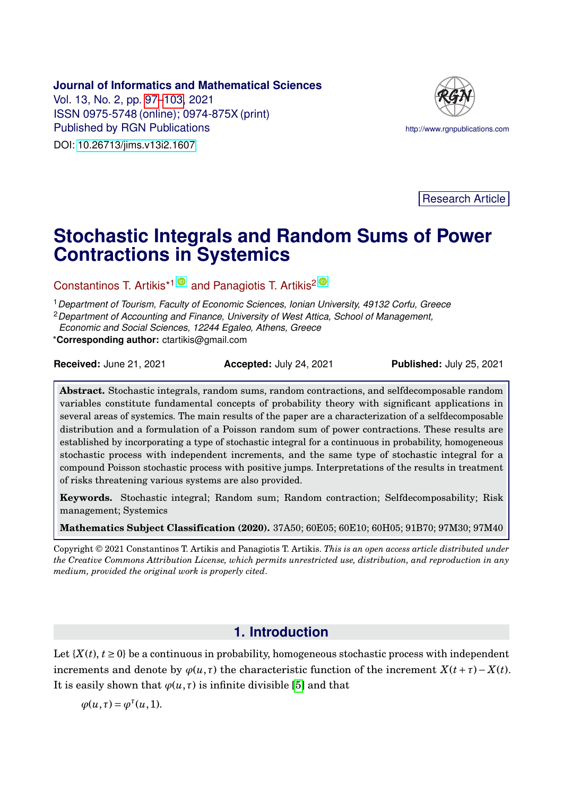#### <span id="page-0-0"></span>**Journal of Informatics and Mathematical Sciences**

Vol. 13, No. 2, pp. [97](#page-0-0)[–103,](#page-4-0) 2021 ISSN 0975-5748 (online); 0974-875X (print) Published by RGN Publications **http://www.rgnpublications.com** DOI: [10.26713/jims.v13i2.1607](http://doi.org/10.26713/jims.v13i2.1607)



Research Article

# **Stochastic Integrals and Random Sums of Power Contractions in Systemics**

Constantinos T. Artikis<sup>\*1</sup> and Panagiotis T. Artikis<sup>2</sup>

<sup>1</sup>*Department of Tourism, Faculty of Economic Sciences, Ionian University, 49132 Corfu, Greece*

<sup>2</sup>*Department of Accounting and Finance, University of West Attica, School of Management,*

*Economic and Social Sciences, 12244 Egaleo, Athens, Greece*

\***Corresponding author:** ctartikis@gmail.com

| <b>Received: June 21, 2021</b> | Accepted: July 24, 2021 | <b>Published: July 25, 2021</b> |
|--------------------------------|-------------------------|---------------------------------|
|--------------------------------|-------------------------|---------------------------------|

**Abstract.** Stochastic integrals, random sums, random contractions, and selfdecomposable random variables constitute fundamental concepts of probability theory with significant applications in several areas of systemics. The main results of the paper are a characterization of a selfdecomposable distribution and a formulation of a Poisson random sum of power contractions. These results are established by incorporating a type of stochastic integral for a continuous in probability, homogeneous stochastic process with independent increments, and the same type of stochastic integral for a compound Poisson stochastic process with positive jumps. Interpretations of the results in treatment of risks threatening various systems are also provided.

**Keywords.** Stochastic integral; Random sum; Random contraction; Selfdecomposability; Risk management; Systemics

**Mathematics Subject Classification (2020).** 37A50; 60E05; 60E10; 60H05; 91B70; 97M30; 97M40

Copyright © 2021 Constantinos T. Artikis and Panagiotis T. Artikis. *This is an open access article distributed under the Creative Commons Attribution License, which permits unrestricted use, distribution, and reproduction in any medium, provided the original work is properly cited*.

## **1. Introduction**

Let  $\{X(t), t \geq 0\}$  be a continuous in probability, homogeneous stochastic process with independent increments and denote by  $\varphi(u, \tau)$  the characteristic function of the increment  $X(t + \tau) - X(t)$ . It is easily shown that  $\varphi(u, \tau)$  is infinite divisible [\[5\]](#page-5-0) and that

$$
\varphi(u,\tau) = \varphi^{\tau}(u,1).
$$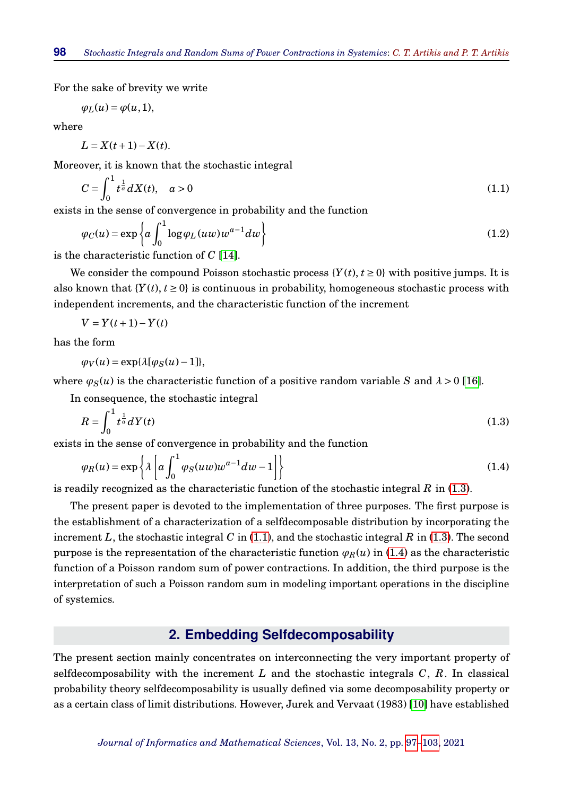For the sake of brevity we write

$$
\varphi_L(u) = \varphi(u, 1),
$$

where

 $L = X(t+1) - X(t)$ .

Moreover, it is known that the stochastic integral

<span id="page-1-1"></span>
$$
C = \int_0^1 t^{\frac{1}{a}} dX(t), \quad a > 0 \tag{1.1}
$$

exists in the sense of convergence in probability and the function

<span id="page-1-3"></span>
$$
\varphi_C(u) = \exp\left\{ a \int_0^1 \log \varphi_L(uw) w^{a-1} dw \right\}
$$
\n(1.2)

is the characteristic function of *C* [\[14\]](#page-5-1).

We consider the compound Poisson stochastic process  ${Y(t), t \ge 0}$  with positive jumps. It is also known that  ${Y(t), t \geq 0}$  is continuous in probability, homogeneous stochastic process with independent increments, and the characteristic function of the increment

$$
V = Y(t+1) - Y(t)
$$

has the form

 $\varphi_V(u) = \exp\{\lambda[\varphi_S(u)-1]\},$ 

where  $\varphi_S(u)$  is the characteristic function of a positive random variable *S* and  $\lambda > 0$  [\[16\]](#page-5-2).

In consequence, the stochastic integral

$$
R = \int_0^1 t^{\frac{1}{a}} dY(t) \tag{1.3}
$$

exists in the sense of convergence in probability and the function

$$
\varphi_R(u) = \exp\left\{\lambda \left[ a \int_0^1 \varphi_S(uw) w^{a-1} dw - 1 \right] \right\} \tag{1.4}
$$

is readily recognized as the characteristic function of the stochastic integral *R* in [\(1.3\)](#page-1-0).

The present paper is devoted to the implementation of three purposes. The first purpose is the establishment of a characterization of a selfdecomposable distribution by incorporating the increment *L*, the stochastic integral *C* in [\(1.1\)](#page-1-1), and the stochastic integral *R* in [\(1.3\)](#page-1-0). The second purpose is the representation of the characteristic function  $\varphi_R(u)$  in [\(1.4\)](#page-1-2) as the characteristic function of a Poisson random sum of power contractions. In addition, the third purpose is the interpretation of such a Poisson random sum in modeling important operations in the discipline of systemics.

## <span id="page-1-2"></span><span id="page-1-0"></span>**2. Embedding Selfdecomposability**

The present section mainly concentrates on interconnecting the very important property of selfdecomposability with the increment *L* and the stochastic integrals *C*, *R*. In classical probability theory selfdecomposability is usually defined via some decomposability property or as a certain class of limit distributions. However, Jurek and Vervaat (1983) [\[10\]](#page-5-3) have established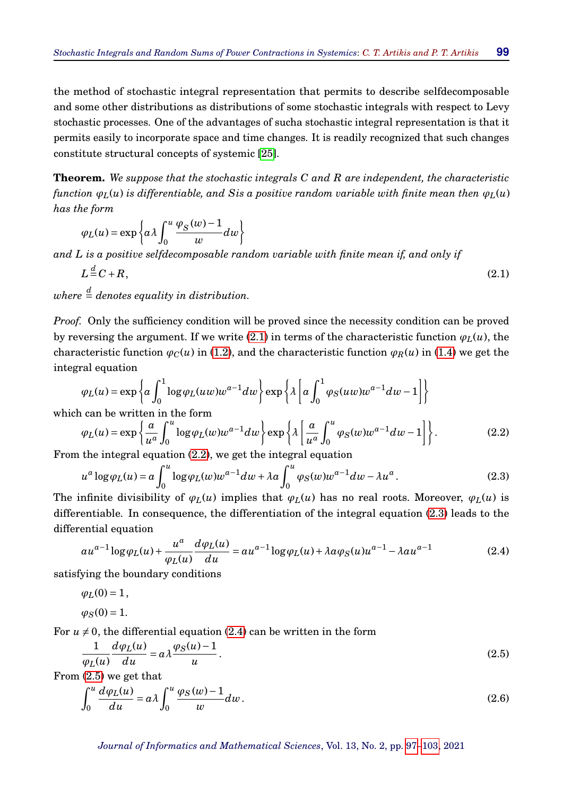the method of stochastic integral representation that permits to describe selfdecomposable and some other distributions as distributions of some stochastic integrals with respect to Levy stochastic processes. One of the advantages of sucha stochastic integral representation is that it permits easily to incorporate space and time changes. It is readily recognized that such changes constitute structural concepts of systemic [\[25\]](#page-6-0).

**Theorem.** *We suppose that the stochastic integrals C and R are independent, the characteristic function*  $\varphi_L(u)$  *is differentiable, and Sis a positive random variable with finite mean then*  $\varphi_L(u)$ *has the form*

$$
\varphi_L(u) = \exp\left\{a\lambda \int_0^u \frac{\varphi_S(w)-1}{w} dw\right\}
$$

*and L is a positive selfdecomposable random variable with finite mean if, and only if*

<span id="page-2-0"></span>
$$
L \stackrel{d}{=} C + R,\tag{2.1}
$$

 $where \stackrel{d}{=} denotes \; equality \; in \; distribution.$ 

*Proof.* Only the sufficiency condition will be proved since the necessity condition can be proved by reversing the argument. If we write [\(2.1\)](#page-2-0) in terms of the characteristic function  $\varphi_L(u)$ , the characteristic function  $\varphi_C(u)$  in [\(1.2\)](#page-1-3), and the characteristic function  $\varphi_R(u)$  in [\(1.4\)](#page-1-2) we get the integral equation

$$
\varphi_L(u) = \exp\left\{a \int_0^1 \log \varphi_L(uw) w^{a-1} dw\right\} \exp\left\{\lambda \left[a \int_0^1 \varphi_S(uw) w^{a-1} dw - 1\right]\right\}
$$

which can be written in the form

<span id="page-2-1"></span>
$$
\varphi_L(u) = \exp\left\{\frac{a}{u^a} \int_0^u \log \varphi_L(w) w^{a-1} dw \right\} \exp\left\{\lambda \left[ \frac{a}{u^a} \int_0^u \varphi_S(w) w^{a-1} dw - 1 \right] \right\}.
$$
 (2.2)

From the integral equation [\(2.2\)](#page-2-1), we get the integral equation

<span id="page-2-2"></span>
$$
u^{a} \log \varphi_{L}(u) = a \int_{0}^{u} \log \varphi_{L}(w) w^{a-1} dw + \lambda a \int_{0}^{u} \varphi_{S}(w) w^{a-1} dw - \lambda u^{a}.
$$
 (2.3)

The infinite divisibility of  $\varphi_L(u)$  implies that  $\varphi_L(u)$  has no real roots. Moreover,  $\varphi_L(u)$  is differentiable. In consequence, the differentiation of the integral equation [\(2.3\)](#page-2-2) leads to the differential equation

<span id="page-2-3"></span>
$$
au^{a-1}\log\varphi_L(u) + \frac{u^a}{\varphi_L(u)}\frac{d\varphi_L(u)}{du} = au^{a-1}\log\varphi_L(u) + \lambda a\varphi_S(u)u^{a-1} - \lambda a u^{a-1}
$$
(2.4)

satisfying the boundary conditions

$$
\varphi_L(0) = 1,
$$

$$
\varphi_S(0)=1.
$$

For  $u \neq 0$ , the differential equation [\(2.4\)](#page-2-3) can be written in the form

$$
\frac{1}{\varphi_L(u)}\frac{d\varphi_L(u)}{du} = a\lambda \frac{\varphi_S(u) - 1}{u}.
$$
\n(2.5)

From (2.5) we get that  
\n
$$
\int_0^u \frac{d\varphi_L(u)}{du} = a\lambda \int_0^u \frac{\varphi_S(w) - 1}{w} dw.
$$
\n(2.6)

<span id="page-2-5"></span><span id="page-2-4"></span>*Journal of Informatics and Mathematical Sciences*, Vol. 13, No. 2, pp. [97–](#page-0-0)[103,](#page-4-0) 2021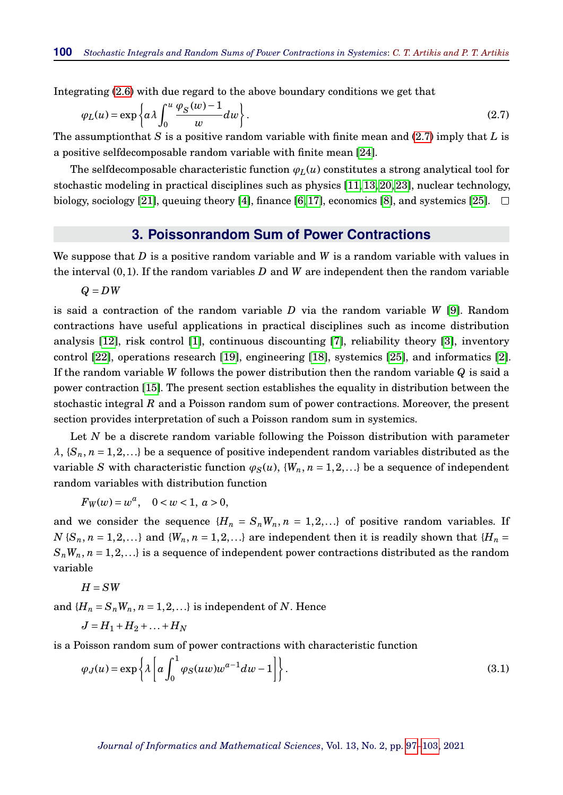Integrating [\(2.6\)](#page-2-5) with due regard to the above boundary conditions we get that

$$
\varphi_L(u) = \exp\left\{ a \lambda \int_0^u \frac{\varphi_S(w) - 1}{w} dw \right\}.
$$
\n(2.7)

The assumptionthat *S* is a positive random variable with finite mean and [\(2.7\)](#page-3-0) imply that *L* is a positive selfdecomposable random variable with finite mean [\[24\]](#page-6-1).

The selfdecomposable characteristic function  $\varphi_L(u)$  constitutes a strong analytical tool for stochastic modeling in practical disciplines such as physics [\[11,](#page-5-4) [13,](#page-5-5) [20,](#page-5-6) [23\]](#page-6-2), nuclear technology, biology, sociology [\[21\]](#page-5-7), queuing theory [\[4\]](#page-5-8), finance [\[6,](#page-5-9) [17\]](#page-5-10), economics [\[8\]](#page-5-11), and systemics [\[25\]](#page-6-0).  $\Box$ 

#### <span id="page-3-0"></span>**3. Poissonrandom Sum of Power Contractions**

We suppose that *D* is a positive random variable and *W* is a random variable with values in the interval (0,1). If the random variables *D* and *W* are independent then the random variable

*Q* = *DW*

is said a contraction of the random variable *D* via the random variable *W* [\[9\]](#page-5-12). Random contractions have useful applications in practical disciplines such as income distribution analysis [\[12\]](#page-5-13), risk control [\[1\]](#page-4-1), continuous discounting [\[7\]](#page-5-14), reliability theory [\[3\]](#page-4-2), inventory control [\[22\]](#page-6-3), operations research [\[19\]](#page-5-15), engineering [\[18\]](#page-5-16), systemics [\[25\]](#page-6-0), and informatics [\[2\]](#page-4-3). If the random variable *W* follows the power distribution then the random variable *Q* is said a power contraction [\[15\]](#page-5-17). The present section establishes the equality in distribution between the stochastic integral *R* and a Poisson random sum of power contractions. Moreover, the present section provides interpretation of such a Poisson random sum in systemics.

Let *N* be a discrete random variable following the Poisson distribution with parameter  $\lambda$ ,  $\{S_n, n = 1, 2, \ldots\}$  be a sequence of positive independent random variables distributed as the variable *S* with characteristic function  $\varphi_S(u)$ ,  $\{W_n, n = 1, 2, ...\}$  be a sequence of independent random variables with distribution function

 $F_W(w) = w^a$ ,  $0 < w < 1, a > 0$ ,

and we consider the sequence  ${H_n = S_nW_n, n = 1,2,...}$  of positive random variables. If  $N$  { $S_n$ ,  $n = 1, 2, \ldots$ } and { $W_n$ ,  $n = 1, 2, \ldots$ } are independent then it is readily shown that { $H_n =$  $S_nW_n$ ,  $n = 1, 2, \ldots$  is a sequence of independent power contractions distributed as the random variable

$$
H = SW
$$

and  ${H_n = S_n W_n, n = 1,2,...}$  is independent of *N*. Hence

$$
J=H_1+H_2+\ldots+H_N
$$

is a Poisson random sum of power contractions with characteristic function

<span id="page-3-1"></span>
$$
\varphi_J(u) = \exp\left\{\lambda \left[ a \int_0^1 \varphi_S(uw) w^{a-1} dw - 1 \right] \right\}.
$$
\n(3.1)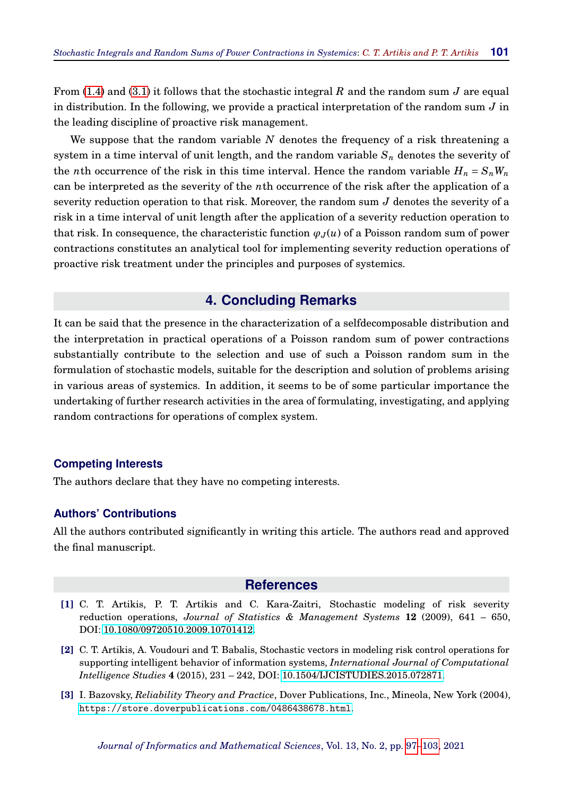From [\(1.4\)](#page-1-2) and [\(3.1\)](#page-3-1) it follows that the stochastic integral *R* and the random sum *J* are equal in distribution. In the following, we provide a practical interpretation of the random sum *J* in the leading discipline of proactive risk management.

We suppose that the random variable *N* denotes the frequency of a risk threatening a system in a time interval of unit length, and the random variable *S<sup>n</sup>* denotes the severity of the *n*th occurrence of the risk in this time interval. Hence the random variable  $H_n = S_n W_n$ can be interpreted as the severity of the *n*th occurrence of the risk after the application of a severity reduction operation to that risk. Moreover, the random sum *J* denotes the severity of a risk in a time interval of unit length after the application of a severity reduction operation to that risk. In consequence, the characteristic function  $\varphi_J(u)$  of a Poisson random sum of power contractions constitutes an analytical tool for implementing severity reduction operations of proactive risk treatment under the principles and purposes of systemics.

## **4. Concluding Remarks**

<span id="page-4-0"></span>It can be said that the presence in the characterization of a selfdecomposable distribution and the interpretation in practical operations of a Poisson random sum of power contractions substantially contribute to the selection and use of such a Poisson random sum in the formulation of stochastic models, suitable for the description and solution of problems arising in various areas of systemics. In addition, it seems to be of some particular importance the undertaking of further research activities in the area of formulating, investigating, and applying random contractions for operations of complex system.

#### **Competing Interests**

The authors declare that they have no competing interests.

### **Authors' Contributions**

All the authors contributed significantly in writing this article. The authors read and approved the final manuscript.

#### **References**

- <span id="page-4-1"></span>**[1]** C. T. Artikis, P. T. Artikis and C. Kara-Zaitri, Stochastic modeling of risk severity reduction operations, *Journal of Statistics & Management Systems* **12** (2009), 641 – 650, DOI: [10.1080/09720510.2009.10701412.](http://doi.org/10.1080/09720510.2009.10701412)
- <span id="page-4-3"></span>**[2]** C. T. Artikis, A. Voudouri and T. Babalis, Stochastic vectors in modeling risk control operations for supporting intelligent behavior of information systems, *International Journal of Computational Intelligence Studies* **4** (2015), 231 – 242, DOI: [10.1504/IJCISTUDIES.2015.072871.](http://doi.org/10.1504/IJCISTUDIES.2015.072871)
- <span id="page-4-2"></span>**[3]** I. Bazovsky, *Reliability Theory and Practice*, Dover Publications, Inc., Mineola, New York (2004), <https://store.doverpublications.com/0486438678.html>.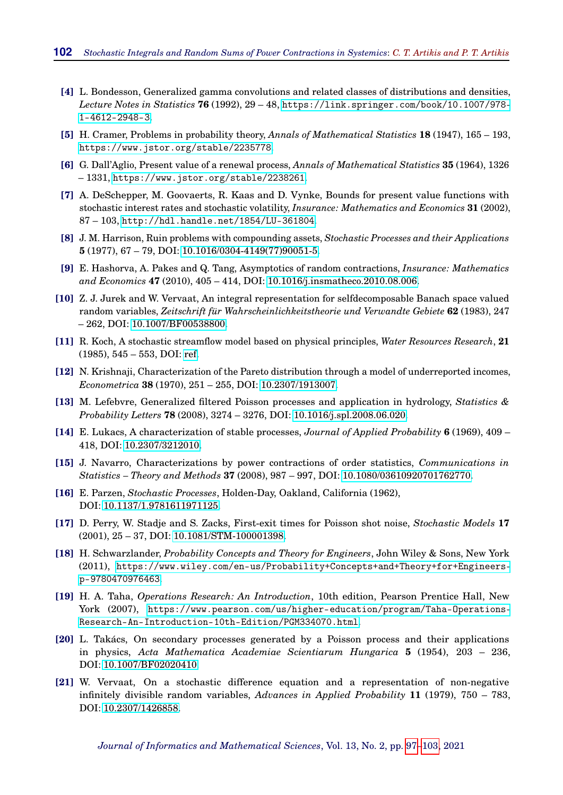- <span id="page-5-8"></span>**[4]** L. Bondesson, Generalized gamma convolutions and related classes of distributions and densities, *Lecture Notes in Statistics* **76** (1992), 29 – 48, [https://link.springer.com/book/10.1007/978-](https://link.springer.com/book/10.1007/978-1-4612-2948-3) [1-4612-2948-3](https://link.springer.com/book/10.1007/978-1-4612-2948-3).
- <span id="page-5-0"></span>**[5]** H. Cramer, Problems in probability theory, *Annals of Mathematical Statistics* **18** (1947), 165 – 193, <https://www.jstor.org/stable/2235778>.
- <span id="page-5-9"></span>**[6]** G. Dall'Aglio, Present value of a renewal process, *Annals of Mathematical Statistics* **35** (1964), 1326 – 1331, <https://www.jstor.org/stable/2238261>.
- <span id="page-5-14"></span>**[7]** A. DeSchepper, M. Goovaerts, R. Kaas and D. Vynke, Bounds for present value functions with stochastic interest rates and stochastic volatility, *Insurance: Mathematics and Economics* **31** (2002), 87 – 103, <http://hdl.handle.net/1854/LU-361804>.
- <span id="page-5-11"></span>**[8]** J. M. Harrison, Ruin problems with compounding assets, *Stochastic Processes and their Applications* **5** (1977), 67 – 79, DOI: [10.1016/0304-4149\(77\)90051-5.](http://doi.org/10.1016/0304-4149(77)90051-5)
- <span id="page-5-12"></span>**[9]** E. Hashorva, A. Pakes and Q. Tang, Asymptotics of random contractions, *Insurance: Mathematics and Economics* **47** (2010), 405 – 414, DOI: [10.1016/j.insmatheco.2010.08.006.](http://doi.org/10.1016/j.insmatheco.2010.08.006)
- <span id="page-5-3"></span>**[10]** Z. J. Jurek and W. Vervaat, An integral representation for selfdecomposable Banach space valued random variables, *Zeitschrift für Wahrscheinlichkeitstheorie und Verwandte Gebiete* **62** (1983), 247 – 262, DOI: [10.1007/BF00538800.](http://doi.org/10.1007/BF00538800)
- <span id="page-5-4"></span>**[11]** R. Koch, A stochastic streamflow model based on physical principles, *Water Resources Research*, **21** (1985), 545 – 553, DOI: [ref.](http://doi.org/ref)
- <span id="page-5-13"></span>**[12]** N. Krishnaji, Characterization of the Pareto distribution through a model of underreported incomes, *Econometrica* **38** (1970), 251 – 255, DOI: [10.2307/1913007.](http://doi.org/10.2307/1913007)
- <span id="page-5-5"></span>**[13]** M. Lefebvre, Generalized filtered Poisson processes and application in hydrology, *Statistics & Probability Letters* **78** (2008), 3274 – 3276, DOI: [10.1016/j.spl.2008.06.020.](http://doi.org/10.1016/j.spl.2008.06.020)
- <span id="page-5-1"></span>**[14]** E. Lukacs, A characterization of stable processes, *Journal of Applied Probability* **6** (1969), 409 – 418, DOI: [10.2307/3212010.](http://doi.org/10.2307/3212010)
- <span id="page-5-17"></span>**[15]** J. Navarro, Characterizations by power contractions of order statistics, *Communications in Statistics – Theory and Methods* **37** (2008), 987 – 997, DOI: [10.1080/03610920701762770.](http://doi.org/10.1080/03610920701762770)
- <span id="page-5-2"></span>**[16]** E. Parzen, *Stochastic Processes*, Holden-Day, Oakland, California (1962), DOI: [10.1137/1.9781611971125.](http://doi.org/10.1137/1.9781611971125)
- <span id="page-5-10"></span>**[17]** D. Perry, W. Stadje and S. Zacks, First-exit times for Poisson shot noise, *Stochastic Models* **17** (2001), 25 – 37, DOI: [10.1081/STM-100001398.](http://doi.org/10.1081/STM-100001398)
- <span id="page-5-16"></span>**[18]** H. Schwarzlander, *Probability Concepts and Theory for Engineers*, John Wiley & Sons, New York (2011), [https://www.wiley.com/en-us/Probability+Concepts+and+Theory+for+Engineers](https://www.wiley.com/en-us/Probability+Concepts+and+Theory+for+Engineers-p-9780470976463)[p-9780470976463](https://www.wiley.com/en-us/Probability+Concepts+and+Theory+for+Engineers-p-9780470976463).
- <span id="page-5-15"></span>**[19]** H. A. Taha, *Operations Research: An Introduction*, 10th edition, Pearson Prentice Hall, New York (2007), [https://www.pearson.com/us/higher-education/program/Taha-Operations-](https://www.pearson.com/us/higher-education/program/Taha-Operations-Research-An-Introduction-10th-Edition/PGM334070.html)[Research-An-Introduction-10th-Edition/PGM334070.html](https://www.pearson.com/us/higher-education/program/Taha-Operations-Research-An-Introduction-10th-Edition/PGM334070.html).
- <span id="page-5-6"></span>**[20]** L. Takács, On secondary processes generated by a Poisson process and their applications in physics, *Acta Mathematica Academiae Scientiarum Hungarica* **5** (1954), 203 – 236, DOI: [10.1007/BF02020410.](http://doi.org/10.1007/BF02020410)
- <span id="page-5-7"></span>**[21]** W. Vervaat, On a stochastic difference equation and a representation of non-negative infinitely divisible random variables, *Advances in Applied Probability* **11** (1979), 750 – 783, DOI: [10.2307/1426858.](http://doi.org/10.2307/1426858)